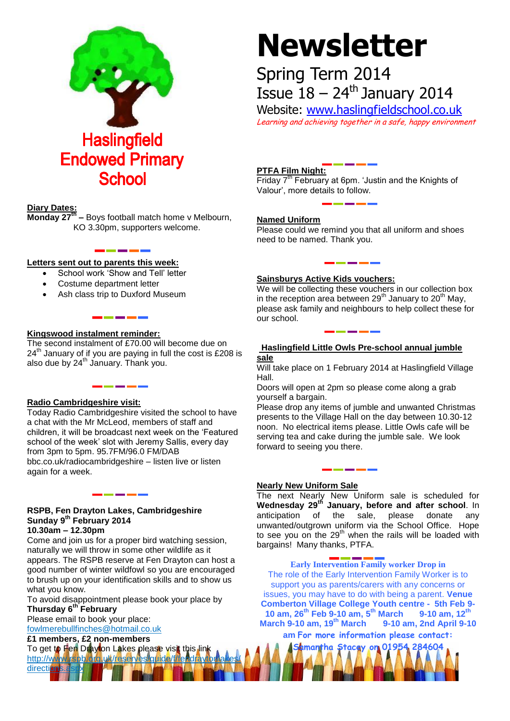

# **Diary Dates:**

**Monday 27th –** Boys football match home v Melbourn, KO 3.30pm, supporters welcome.

# **Letters sent out to parents this week:**

- School work 'Show and Tell' letter
- Costume department letter
- Ash class trip to Duxford Museum

# **Kingswood instalment reminder:**

The second instalment of £70.00 will become due on  $24<sup>th</sup>$  January of if you are paying in full the cost is £208 is also due by  $24^{th}$  January. Thank you.

#### **Radio Cambridgeshire visit:**

Today Radio Cambridgeshire visited the school to have a chat with the Mr McLeod, members of staff and children, it will be broadcast next week on the 'Featured school of the week' slot with Jeremy Sallis, every day from 3pm to 5pm. 95.7FM/96.0 FM/DAB bbc.co.uk/radiocambridgeshire – listen live or listen again for a week.

# **RSPB, Fen Drayton Lakes, Cambridgeshire Sunday 9th February 2014**

**10.30am – 12.30pm**

direction

Come and join us for a proper bird watching session, naturally we will throw in some other wildlife as it appears. The RSPB reserve at Fen Drayton can host a good number of winter wildfowl so you are encouraged to brush up on your identification skills and to show us what you know.

To avoid disappointment please book your place by **Thursday 6th February**

Please email to book your place: [fowlmerebullfinches@hotmail.co.uk](mailto:fowlmerebullfinches@hotmail.co.uk) 

#### **£1 members, £2 non-members**

To get to Fen Drayton Lakes please visit this link http://www.rspb/org.uk/reserves/guide/f

**Newsletter**

# Spring Term 2014 Issue  $18 - 24$ <sup>th</sup> January 2014

Website: [www.haslingfieldschool.co.uk](http://www.haslingfieldschool.co.uk/) Learning and achieving together in a safe, happy environment

# **PTFA Film Night:**

Friday  $7<sup>th</sup>$  February at 6pm. 'Justin and the Knights of Valour', more details to follow.

# **Named Uniform**

Please could we remind you that all uniform and shoes need to be named. Thank you.

# **Sainsburys Active Kids vouchers:**

We will be collecting these vouchers in our collection box in the reception area between  $29<sup>th</sup>$  January to  $20<sup>th</sup>$  May, please ask family and neighbours to help collect these for our school.

#### **Haslingfield Little Owls Pre-school annual jumble sale**

Will take place on 1 February 2014 at Haslingfield Village Hall.

Doors will open at 2pm so please come along a grab yourself a bargain.

Please drop any items of jumble and unwanted Christmas presents to the Village Hall on the day between 10.30-12 noon. No electrical items please. Little Owls cafe will be serving tea and cake during the jumble sale. We look forward to seeing you there.

#### **Nearly New Uniform Sale**

The next Nearly New Uniform sale is scheduled for **Wednesday 29th January, before and after school**. In anticipation of the sale, please donate any unwanted/outgrown uniform via the School Office. Hope to see you on the  $29<sup>th</sup>$  when the rails will be loaded with bargains! Many thanks, PTFA.

# **Early Intervention Family worker Drop in**

The role of the Early Intervention Family Worker is to support you as parents/carers with any concerns or issues, you may have to do with being a parent. **Venue Comberton Village College Youth centre - 5th Feb 9- 10 am, 26th Feb 9-10 am, 5 th March 9-10 am, 12th March 9-10 am, 19th March 9-10 am, 2nd April 9-10** 

**am For more information please contact: Samantha Stacey on 01954 284604**